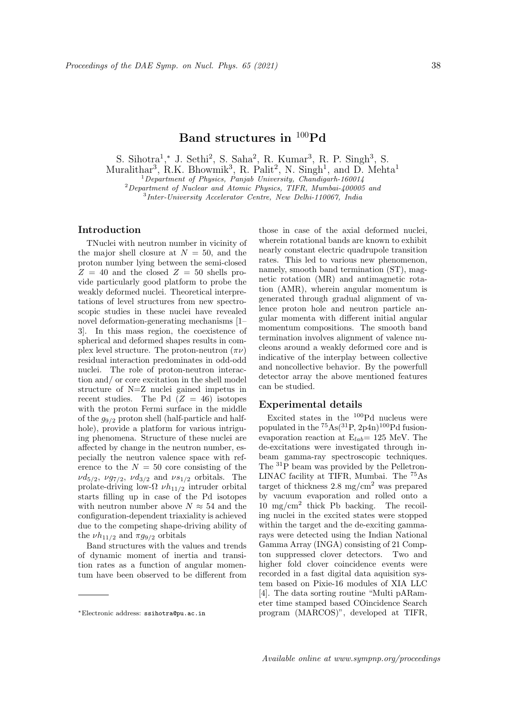# **Band structures in** <sup>100</sup>**Pd**

S. Sihotra<sup>1</sup>,\* J. Sethi<sup>2</sup>, S. Saha<sup>2</sup>, R. Kumar<sup>3</sup>, R. P. Singh<sup>3</sup>, S.

Muralithar<sup>3</sup>, R.K. Bhowmik<sup>3</sup>, R. Palit<sup>2</sup>, N. Singh<sup>1</sup>, and D. Mehta<sup>1</sup>

<sup>1</sup>*Department of Physics, Panjab University, Chandigarh-160014*

<sup>2</sup>*Department of Nuclear and Atomic Physics, TIFR, Mumbai-400005 and*

3 *Inter-University Accelerator Centre, New Delhi-110067, India*

### **Introduction**

TNuclei with neutron number in vicinity of the major shell closure at  $N = 50$ , and the proton number lying between the semi-closed  $Z = 40$  and the closed  $Z = 50$  shells provide particularly good platform to probe the weakly deformed nuclei. Theoretical interpretations of level structures from new spectroscopic studies in these nuclei have revealed novel deformation-generating mechanisms [1– 3]. In this mass region, the coexistence of spherical and deformed shapes results in complex level structure. The proton-neutron (*πν*) residual interaction predominates in odd-odd nuclei. The role of proton-neutron interaction and/ or core excitation in the shell model structure of N=Z nuclei gained impetus in recent studies. The Pd  $(Z = 46)$  isotopes with the proton Fermi surface in the middle of the *g*9*/*<sup>2</sup> proton shell (half-particle and halfhole), provide a platform for various intriguing phenomena. Structure of these nuclei are affected by change in the neutron number, especially the neutron valence space with reference to the  $N = 50$  core consisting of the  $\nu d_{5/2}$ ,  $\nu g_{7/2}$ ,  $\nu d_{3/2}$  and  $\nu s_{1/2}$  orbitals. The prolate-driving low-Ω *νh*11*/*<sup>2</sup> intruder orbital starts filling up in case of the Pd isotopes with neutron number above  $N \approx 54$  and the configuration-dependent triaxiality is achieved due to the competing shape-driving ability of the  $\nu h_{11/2}$  and  $\pi g_{9/2}$  orbitals

Band structures with the values and trends of dynamic moment of inertia and transition rates as a function of angular momentum have been observed to be different from

those in case of the axial deformed nuclei, wherein rotational bands are known to exhibit nearly constant electric quadrupole transition rates. This led to various new phenomenon, namely, smooth band termination (ST), magnetic rotation (MR) and antimagnetic rotation (AMR), wherein angular momentum is generated through gradual alignment of valence proton hole and neutron particle angular momenta with different initial angular momentum compositions. The smooth band termination involves alignment of valence nucleons around a weakly deformed core and is indicative of the interplay between collective and noncollective behavior. By the powerfull detector array the above mentioned features can be studied.

## **Experimental details**

Excited states in the <sup>100</sup>Pd nucleus were populated in the  ${}^{75}As({}^{31}P, 2p4n){}^{100}Pd$  fusionevaporation reaction at E*lab*= 125 MeV. The de-excitations were investigated through inbeam gamma-ray spectroscopic techniques. The <sup>31</sup>P beam was provided by the Pelletron-LINAC facility at TIFR, Mumbai. The <sup>75</sup>As target of thickness  $2.8 \text{ mg/cm}^2$  was prepared by vacuum evaporation and rolled onto a 10 mg/cm<sup>2</sup> thick Pb backing. The recoiling nuclei in the excited states were stopped within the target and the de-exciting gammarays were detected using the Indian National Gamma Array (INGA) consisting of 21 Compton suppressed clover detectors. Two and higher fold clover coincidence events were recorded in a fast digital data aquisition system based on Pixie-16 modules of XIA LLC [4]. The data sorting routine "Multi pARameter time stamped based COincidence Search program (MARCOS)", developed at TIFR,

*<sup>∗</sup>*Electronic address: ssihotra@pu.ac.in